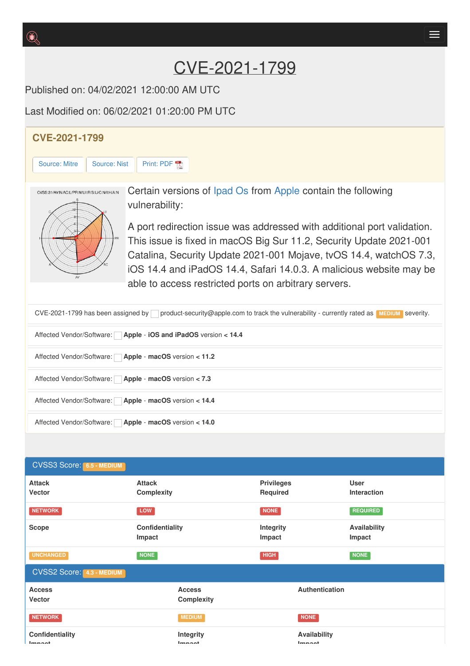# CVE-2021-1799

Published on: 04/02/2021 12:00:00 AM UTC

Last Modified on: 06/02/2021 01:20:00 PM UTC

## **CVE-2021-1799** [Source:](https://cve.report/CVE-2021-1799/nist) Mitre | Source: Nist | [Print:](https://cve.report/CVE-2021-1799.pdf) PDF Certain versions of [Ipad](http://cve.report/software/apple/ipad_os) Os from [Apple](http://cve.report/vendor/apple) contain the following CVSS:31/AV:N/AC:L/PR:N/UI:R/S:U/C:N/I:H/A:N vulnerability: A port redirection issue was addressed with additional port validation. This issue is fixed in macOS Big Sur 11.2, Security Update 2021-001 Catalina, Security Update 2021-001 Mojave, tvOS 14.4, watchOS 7.3, iOS 14.4 and iPadOS 14.4, Safari 14.0.3. A malicious website may be able to access restricted ports on arbitrary servers. CVE-2021-1799 has been assigned by product-security@apple.com to track the vulnerability - currently rated as **MEDIUM** severity.

| Affected Vendor/Software: Apple - iOS and iPadOS version < 14.4 |
|-----------------------------------------------------------------|
| Affected Vendor/Software:   Apple - macOS version < 11.2        |
| Affected Vendor/Software:   Apple - macOS version < 7.3         |
| Affected Vendor/Software: Apple - macOS version < 14.4          |
| Affected Vendor/Software:   Apple - macOS version < 14.0        |

| <b>CVSS3 Score: 6.5 - MEDIUM</b>  |                                    |                               |                                   |  |
|-----------------------------------|------------------------------------|-------------------------------|-----------------------------------|--|
| <b>Attack</b><br><b>Vector</b>    | <b>Attack</b><br><b>Complexity</b> | <b>Privileges</b><br>Required | <b>User</b><br><b>Interaction</b> |  |
| <b>NETWORK</b>                    | LOW                                | <b>NONE</b>                   | <b>REQUIRED</b>                   |  |
| <b>Scope</b>                      | Confidentiality<br>Impact          | <b>Integrity</b><br>Impact    | Availability<br>Impact            |  |
| <b>UNCHANGED</b>                  | <b>NONE</b>                        | <b>HIGH</b>                   | <b>NONE</b>                       |  |
| <b>CVSS2 Score: 4.3 - MEDIUM</b>  |                                    |                               |                                   |  |
| <b>Access</b><br><b>Vector</b>    | <b>Access</b><br><b>Complexity</b> | Authentication                |                                   |  |
| <b>NETWORK</b>                    | <b>MEDIUM</b>                      | <b>NONE</b>                   |                                   |  |
| Confidentiality<br><b>Imman</b> t | Integrity<br><b>Immaat</b>         | Availability<br><b>Immand</b> |                                   |  |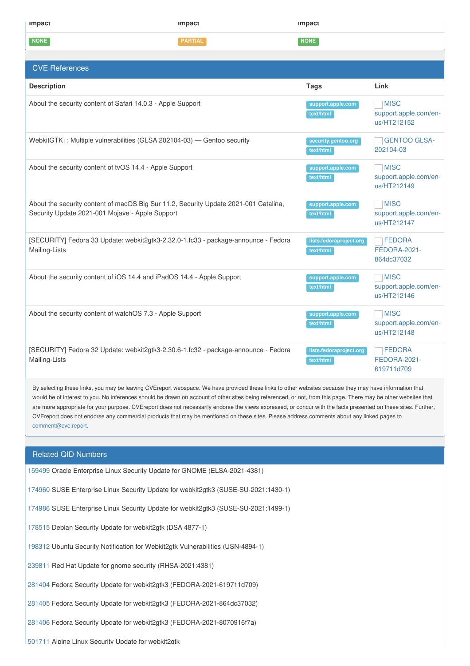| impact                                                                                                                                                                                                                                                                                                                                                                                                                                                                                                                                                                                                                                                           | <b>Impact</b>  | <b>Impact</b>                        |                                                     |
|------------------------------------------------------------------------------------------------------------------------------------------------------------------------------------------------------------------------------------------------------------------------------------------------------------------------------------------------------------------------------------------------------------------------------------------------------------------------------------------------------------------------------------------------------------------------------------------------------------------------------------------------------------------|----------------|--------------------------------------|-----------------------------------------------------|
| <b>NONE</b>                                                                                                                                                                                                                                                                                                                                                                                                                                                                                                                                                                                                                                                      | <b>PARTIAL</b> | <b>NONE</b>                          |                                                     |
|                                                                                                                                                                                                                                                                                                                                                                                                                                                                                                                                                                                                                                                                  |                |                                      |                                                     |
| <b>CVE References</b>                                                                                                                                                                                                                                                                                                                                                                                                                                                                                                                                                                                                                                            |                |                                      |                                                     |
| <b>Description</b>                                                                                                                                                                                                                                                                                                                                                                                                                                                                                                                                                                                                                                               |                | <b>Tags</b>                          | Link                                                |
| About the security content of Safari 14.0.3 - Apple Support                                                                                                                                                                                                                                                                                                                                                                                                                                                                                                                                                                                                      |                | support.apple.com<br>text/html       | <b>MISC</b><br>support.apple.com/en-<br>us/HT212152 |
| WebkitGTK+: Multiple vulnerabilities (GLSA 202104-03) - Gentoo security                                                                                                                                                                                                                                                                                                                                                                                                                                                                                                                                                                                          |                | security.gentoo.org<br>text/html     | <b>GENTOO GLSA-</b><br>202104-03                    |
| About the security content of tvOS 14.4 - Apple Support                                                                                                                                                                                                                                                                                                                                                                                                                                                                                                                                                                                                          |                | support.apple.com<br>text/html       | <b>MISC</b><br>support.apple.com/en-<br>us/HT212149 |
| About the security content of macOS Big Sur 11.2, Security Update 2021-001 Catalina,<br>Security Update 2021-001 Mojave - Apple Support                                                                                                                                                                                                                                                                                                                                                                                                                                                                                                                          |                | support.apple.com<br>text/html       | <b>MISC</b><br>support.apple.com/en-<br>us/HT212147 |
| [SECURITY] Fedora 33 Update: webkit2gtk3-2.32.0-1.fc33 - package-announce - Fedora<br>Mailing-Lists                                                                                                                                                                                                                                                                                                                                                                                                                                                                                                                                                              |                | lists.fedoraproject.org<br>text/html | <b>FEDORA</b><br><b>FEDORA-2021-</b><br>864dc37032  |
| About the security content of iOS 14.4 and iPadOS 14.4 - Apple Support                                                                                                                                                                                                                                                                                                                                                                                                                                                                                                                                                                                           |                | support.apple.com<br>text/html       | <b>MISC</b><br>support.apple.com/en-<br>us/HT212146 |
| About the security content of watchOS 7.3 - Apple Support                                                                                                                                                                                                                                                                                                                                                                                                                                                                                                                                                                                                        |                | support.apple.com<br>text/html       | <b>MISC</b><br>support.apple.com/en-<br>us/HT212148 |
| [SECURITY] Fedora 32 Update: webkit2gtk3-2.30.6-1.fc32 - package-announce - Fedora<br>Mailing-Lists                                                                                                                                                                                                                                                                                                                                                                                                                                                                                                                                                              |                | lists.fedoraproject.org<br>text/html | <b>FEDORA</b><br>FEDORA-2021-<br>619711d709         |
| By selecting these links, you may be leaving CVEreport webspace. We have provided these links to other websites because they may have information that<br>would be of interest to you. No inferences should be drawn on account of other sites being referenced, or not, from this page. There may be other websites that<br>are more appropriate for your purpose. CVEreport does not necessarily endorse the views expressed, or concur with the facts presented on these sites. Further,<br>CVEreport does not endorse any commercial products that may be mentioned on these sites. Please address comments about any linked pages to<br>comment@cve.report. |                |                                      |                                                     |
| <b>Related QID Numbers</b>                                                                                                                                                                                                                                                                                                                                                                                                                                                                                                                                                                                                                                       |                |                                      |                                                     |
| 159499 Oracle Enterprise Linux Security Update for GNOME (ELSA-2021-4381)                                                                                                                                                                                                                                                                                                                                                                                                                                                                                                                                                                                        |                |                                      |                                                     |
|                                                                                                                                                                                                                                                                                                                                                                                                                                                                                                                                                                                                                                                                  |                |                                      |                                                     |
| 174960 SUSE Enterprise Linux Security Update for webkit2gtk3 (SUSE-SU-2021:1430-1)                                                                                                                                                                                                                                                                                                                                                                                                                                                                                                                                                                               |                |                                      |                                                     |
| 174986 SUSE Enterprise Linux Security Update for webkit2gtk3 (SUSE-SU-2021:1499-1)                                                                                                                                                                                                                                                                                                                                                                                                                                                                                                                                                                               |                |                                      |                                                     |
| 178515 Debian Security Update for webkit2gtk (DSA 4877-1)                                                                                                                                                                                                                                                                                                                                                                                                                                                                                                                                                                                                        |                |                                      |                                                     |
| 198312 Ubuntu Security Notification for Webkit2gtk Vulnerabilities (USN-4894-1)                                                                                                                                                                                                                                                                                                                                                                                                                                                                                                                                                                                  |                |                                      |                                                     |

[239811](http://cve.report/qid/239811) Red Hat Update for gnome security (RHSA-2021:4381)

[281404](http://cve.report/qid/281404) Fedora Security Update for webkit2gtk3 (FEDORA-2021-619711d709)

[281405](http://cve.report/qid/281405) Fedora Security Update for webkit2gtk3 (FEDORA-2021-864dc37032)

[281406](http://cve.report/qid/281406) Fedora Security Update for webkit2gtk3 (FEDORA-2021-8070916f7a)

[501711](http://cve.report/qid/501711) Alpine Linux Security Update for webkit2gtk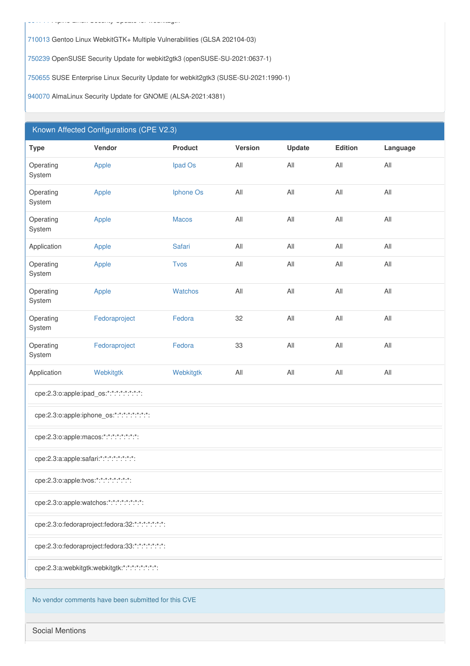710013 Gentoo Linux WebkitGTK+ Multiple Vulnerabilities (GLSA 202104-03)

750239 OpenSUSE Security Update for webkit2gtk3 (openSUSE-SU-2021:0637-1)

750655 SUSE Enterprise Linux Security Update for webkit2gtk3 (SUSE-SU-2021:1990-1)

940070 AlmaLinux Security Update for GNOME (ALSA-2021:4381)

#### Known Affected Configurations (CPE V2.3)

| <b>Type</b>                                         | Vendor        | <b>Product</b> | Version        | Update | Edition        | Language       |
|-----------------------------------------------------|---------------|----------------|----------------|--------|----------------|----------------|
| Operating<br>System                                 | Apple         | Ipad Os        | $\mathsf{All}$ | All    | All            | All            |
| Operating<br>System                                 | Apple         | Iphone Os      | $\mathsf{All}$ | All    | All            | $\mathsf{All}$ |
| Operating<br>System                                 | Apple         | <b>Macos</b>   | All            | All    | All            | $\mathsf{All}$ |
| Application                                         | Apple         | Safari         | $A\parallel$   | All    | All            | All            |
| Operating<br>System                                 | Apple         | <b>Tvos</b>    | $\mathsf{All}$ | All    | All            | $\mathsf{All}$ |
| Operating<br>System                                 | Apple         | Watchos        | $A\parallel$   | All    | All            | $\mathsf{All}$ |
| Operating<br>System                                 | Fedoraproject | Fedora         | 32             | All    | $\mathsf{All}$ | $\mathsf{All}$ |
| Operating<br>System                                 | Fedoraproject | Fedora         | 33             | All    | All            | $\mathsf{All}$ |
| Application                                         | Webkitgtk     | Webkitgtk      | $A\parallel$   | All    | All            | All            |
| cpe:2.3:o:apple:ipad_os:*:*:*:*:*:*:*:*:            |               |                |                |        |                |                |
| cpe:2.3:o:apple:iphone_os:*:*:*:*:*:*:*:*:          |               |                |                |        |                |                |
| cpe:2.3:o:apple:macos:*:*:*:*:*:*:*:*:              |               |                |                |        |                |                |
| cpe:2.3:a:apple:safari:*:*:*:*:*:*:*:*:             |               |                |                |        |                |                |
| cpe:2.3:o:apple:tvos:*:*:*:*:*:*:*:*:               |               |                |                |        |                |                |
| cpe:2.3:o:apple:watchos:*:*:*:*:*:*:*:*:            |               |                |                |        |                |                |
| cpe:2.3:o:fedoraproject:fedora:32:*:*:*:*:*:*:*:    |               |                |                |        |                |                |
| cpe:2.3:o:fedoraproject:fedora:33:*:*:*:*:*:*:*:    |               |                |                |        |                |                |
| cpe:2.3:a:webkitgtk:webkitgtk:*:*:*:*:*:*:*:*:      |               |                |                |        |                |                |
| No vendor comments have been submitted for this CVE |               |                |                |        |                |                |

**Social Mentions**